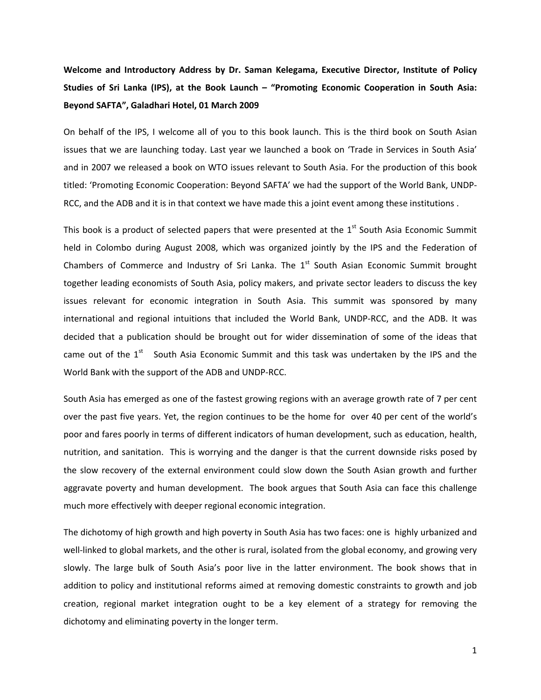**Welcome and Introductory Address by Dr. Saman Kelegama, Executive Director, Institute of Policy Studies of Sri Lanka (IPS), at the Book Launch – "Promoting Economic Cooperation in South Asia: Beyond SAFTA", Galadhari Hotel, 01 March 2009**

On behalf of the IPS, I welcome all of you to this book launch. This is the third book on South Asian issues that we are launching today. Last year we launched a book on 'Trade in Services in South Asia' and in 2007 we released a book on WTO issues relevant to South Asia. For the production of this book titled: 'Promoting Economic Cooperation: Beyond SAFTA' we had the support of the World Bank, UNDP‐ RCC, and the ADB and it is in that context we have made this a joint event among these institutions .

This book is a product of selected papers that were presented at the 1<sup>st</sup> South Asia Economic Summit held in Colombo during August 2008, which was organized jointly by the IPS and the Federation of Chambers of Commerce and Industry of Sri Lanka. The  $1<sup>st</sup>$  South Asian Economic Summit brought together leading economists of South Asia, policy makers, and private sector leaders to discuss the key issues relevant for economic integration in South Asia. This summit was sponsored by many international and regional intuitions that included the World Bank, UNDP‐RCC, and the ADB. It was decided that a publication should be brought out for wider dissemination of some of the ideas that came out of the  $1<sup>st</sup>$  South Asia Economic Summit and this task was undertaken by the IPS and the World Bank with the support of the ADB and UNDP‐RCC.

South Asia has emerged as one of the fastest growing regions with an average growth rate of 7 per cent over the past five years. Yet, the region continues to be the home for over 40 per cent of the world's poor and fares poorly in terms of different indicators of human development, such as education, health, nutrition, and sanitation. This is worrying and the danger is that the current downside risks posed by the slow recovery of the external environment could slow down the South Asian growth and further aggravate poverty and human development. The book argues that South Asia can face this challenge much more effectively with deeper regional economic integration.

The dichotomy of high growth and high poverty in South Asia has two faces: one is highly urbanized and well-linked to global markets, and the other is rural, isolated from the global economy, and growing very slowly. The large bulk of South Asia's poor live in the latter environment. The book shows that in addition to policy and institutional reforms aimed at removing domestic constraints to growth and job creation, regional market integration ought to be a key element of a strategy for removing the dichotomy and eliminating poverty in the longer term.

1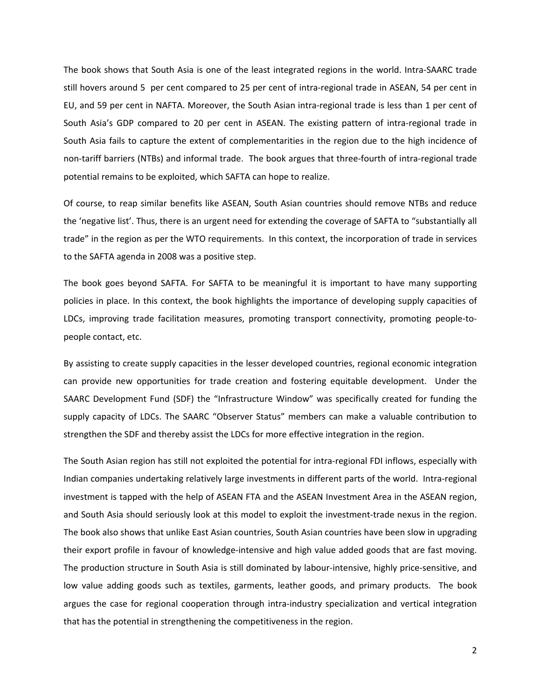The book shows that South Asia is one of the least integrated regions in the world. Intra‐SAARC trade still hovers around 5 per cent compared to 25 per cent of intra-regional trade in ASEAN, 54 per cent in EU, and 59 per cent in NAFTA. Moreover, the South Asian intra‐regional trade is less than 1 per cent of South Asia's GDP compared to 20 per cent in ASEAN. The existing pattern of intra-regional trade in South Asia fails to capture the extent of complementarities in the region due to the high incidence of non‐tariff barriers (NTBs) and informal trade. The book argues that three‐fourth of intra‐regional trade potential remains to be exploited, which SAFTA can hope to realize.

Of course, to reap similar benefits like ASEAN, South Asian countries should remove NTBs and reduce the 'negative list'. Thus, there is an urgent need for extending the coverage of SAFTA to "substantially all trade" in the region as per the WTO requirements. In this context, the incorporation of trade in services to the SAFTA agenda in 2008 was a positive step.

The book goes beyond SAFTA. For SAFTA to be meaningful it is important to have many supporting policies in place. In this context, the book highlights the importance of developing supply capacities of LDCs, improving trade facilitation measures, promoting transport connectivity, promoting people‐to‐ people contact, etc.

By assisting to create supply capacities in the lesser developed countries, regional economic integration can provide new opportunities for trade creation and fostering equitable development. Under the SAARC Development Fund (SDF) the "Infrastructure Window" was specifically created for funding the supply capacity of LDCs. The SAARC "Observer Status" members can make a valuable contribution to strengthen the SDF and thereby assist the LDCs for more effective integration in the region.

The South Asian region has still not exploited the potential for intra-regional FDI inflows, especially with Indian companies undertaking relatively large investments in different parts of the world. Intra-regional investment is tapped with the help of ASEAN FTA and the ASEAN Investment Area in the ASEAN region, and South Asia should seriously look at this model to exploit the investment-trade nexus in the region. The book also shows that unlike East Asian countries, South Asian countries have been slow in upgrading their export profile in favour of knowledge‐intensive and high value added goods that are fast moving. The production structure in South Asia is still dominated by labour-intensive, highly price-sensitive, and low value adding goods such as textiles, garments, leather goods, and primary products. The book argues the case for regional cooperation through intra-industry specialization and vertical integration that has the potential in strengthening the competitiveness in the region.